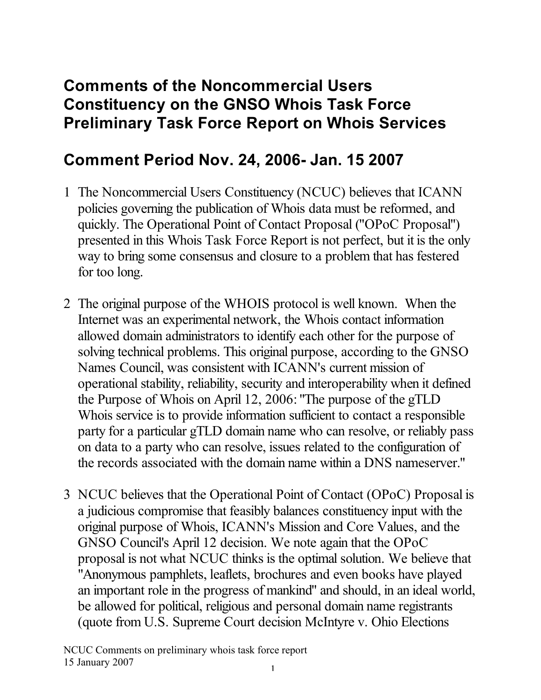## **Comments of the Noncommercial Users Constituency on the GNSO Whois Task Force Preliminary Task Force Report on Whois Services**

## **Comment Period Nov. 24, 2006- Jan. 15 2007**

- 1 The Noncommercial Users Constituency (NCUC) believes that ICANN policies governing the publication of Whois data must be reformed, and quickly. The Operational Point of Contact Proposal ("OPoC Proposal") presented in this Whois Task Force Report is not perfect, but it is the only way to bring some consensus and closure to a problem that has festered for too long.
- 2 The original purpose of the WHOIS protocol is well known. When the Internet was an experimental network, the Whois contact information allowed domain administrators to identify each other for the purpose of solving technical problems. This original purpose, according to the GNSO Names Council, was consistent with ICANN's current mission of operational stability, reliability, security and interoperability when it defined the Purpose of Whois on April 12, 2006: "The purpose of the gTLD Whois service is to provide information sufficient to contact a responsible party for a particular gTLD domain name who can resolve, or reliably pass on data to a party who can resolve, issues related to the configuration of the records associated with the domain name within a DNS nameserver."
- 3 NCUC believes that the Operational Point of Contact (OPoC) Proposal is a judicious compromise that feasibly balances constituency input with the original purpose of Whois, ICANN's Mission and Core Values, and the GNSO Council's April 12 decision. We note again that the OPoC proposal is not what NCUC thinks is the optimal solution. We believe that "Anonymous pamphlets, leaflets, brochures and even books have played an important role in the progress of mankind" and should, in an ideal world, be allowed for political, religious and personal domain name registrants (quote from U.S. Supreme Court decision McIntyre v. Ohio Elections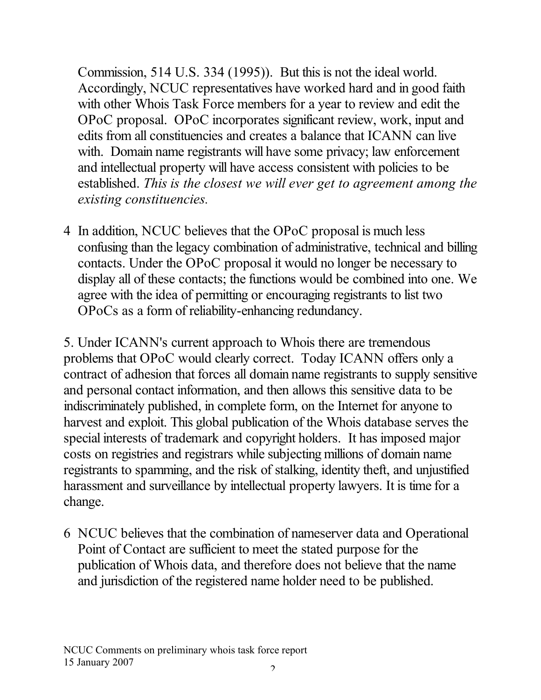Commission, 514 U.S. 334 (1995)). But this is not the ideal world. Accordingly, NCUC representatives have worked hard and in good faith with other Whois Task Force members for a year to review and edit the OPoC proposal. OPoC incorporates significant review, work, input and edits from all constituencies and creates a balance that ICANN can live with. Domain name registrants will have some privacy; law enforcement and intellectual property will have access consistent with policies to be established. *This is the closest we will ever get to agreement among the existing constituencies.*

4 In addition, NCUC believes that the OPoC proposal is much less confusing than the legacy combination of administrative, technical and billing contacts. Under the OPoC proposal it would no longer be necessary to display all of these contacts; the functions would be combined into one. We agree with the idea of permitting or encouraging registrants to list two OPoCs as a form of reliability-enhancing redundancy.

5. Under ICANN's current approach to Whois there are tremendous problems that OPoC would clearly correct. Today ICANN offers only a contract of adhesion that forces all domain name registrants to supply sensitive and personal contact information, and then allows this sensitive data to be indiscriminately published, in complete form, on the Internet for anyone to harvest and exploit. This global publication of the Whois database serves the special interests of trademark and copyright holders. It has imposed major costs on registries and registrars while subjecting millions of domain name registrants to spamming, and the risk of stalking, identity theft, and unjustified harassment and surveillance by intellectual property lawyers. It is time for a change.

6 NCUC believes that the combination of nameserver data and Operational Point of Contact are sufficient to meet the stated purpose for the publication of Whois data, and therefore does not believe that the name and jurisdiction of the registered name holder need to be published.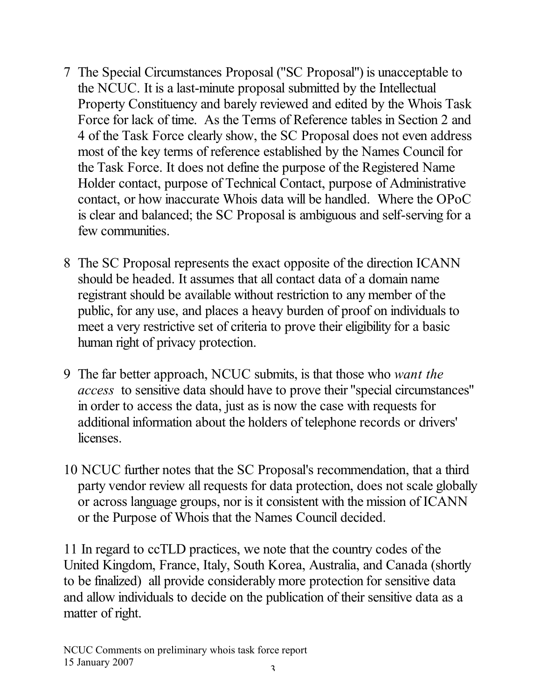- 7 The Special Circumstances Proposal ("SC Proposal") is unacceptable to the NCUC. It is a last-minute proposal submitted by the Intellectual Property Constituency and barely reviewed and edited by the Whois Task Force for lack of time. As the Terms of Reference tables in Section 2 and 4 of the Task Force clearly show, the SC Proposal does not even address most of the key terms of reference established by the Names Council for the Task Force. It does not define the purpose of the Registered Name Holder contact, purpose of Technical Contact, purpose of Administrative contact, or how inaccurate Whois data will be handled. Where the OPoC is clear and balanced; the SC Proposal is ambiguous and self-serving for a few communities.
- 8 The SC Proposal represents the exact opposite of the direction ICANN should be headed. It assumes that all contact data of a domain name registrant should be available without restriction to any member of the public, for any use, and places a heavy burden of proof on individuals to meet a very restrictive set of criteria to prove their eligibility for a basic human right of privacy protection.
- 9 The far better approach, NCUC submits, is that those who *want the access* to sensitive data should have to prove their "special circumstances" in order to access the data, just as is now the case with requests for additional information about the holders of telephone records or drivers' licenses.
- 10 NCUC further notes that the SC Proposal's recommendation, that a third party vendor review all requests for data protection, does not scale globally or across language groups, nor is it consistent with the mission of ICANN or the Purpose of Whois that the Names Council decided.

11 In regard to ccTLD practices, we note that the country codes of the United Kingdom, France, Italy, South Korea, Australia, and Canada (shortly to be finalized) all provide considerably more protection for sensitive data and allow individuals to decide on the publication of their sensitive data as a matter of right.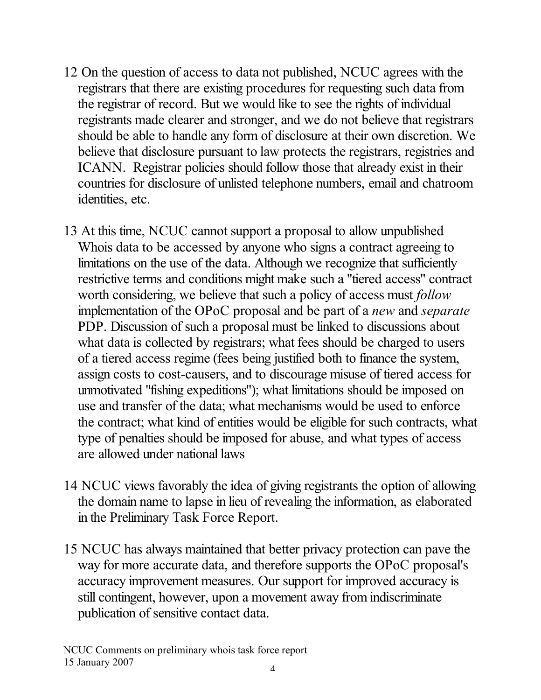- 12 On the question of access to data not published, NCUC agrees with the registrars that there are existing procedures for requesting such data from the registrar of record. But we would like to see the rights of individual registrants made clearer and stronger, and we do not believe that registrars should be able to handle any form of disclosure at their own discretion. We believe that disclosure pursuant to law protects the registrars, registries and ICANN. Registrar policies should follow those that already exist in their countries for disclosure of unlisted telephone numbers, email and chatroom identities, etc.
- 13 At this time, NCUC cannot support a proposal to allow unpublished Whois data to be accessed by anyone who signs a contract agreeing to limitations on the use of the data. Although we recognize that sufficiently restrictive terms and conditions might make such a "tiered access" contract worth considering, we believe that such a policy of access must *follow* implementation of the OPoC proposal and be part of a *new* and *separate* PDP. Discussion of such a proposal must be linked to discussions about what data is collected by registrars; what fees should be charged to users of a tiered access regime (fees being justified both to finance the system, assign costs to cost-causers, and to discourage misuse of tiered access for unmotivated "fishing expeditions"); what limitations should be imposed on use and transfer of the data; what mechanisms would be used to enforce the contract; what kind of entities would be eligible for such contracts, what type of penalties should be imposed for abuse, and what types of access are allowed under national laws
- 14 NCUC views favorably the idea of giving registrants the option of allowing the domain name to lapse in lieu of revealing the information, as elaborated in the Preliminary Task Force Report.
- 15 NCUC has always maintained that better privacy protection can pave the way for more accurate data, and therefore supports the OPoC proposal's accuracy improvement measures. Our support for improved accuracy is still contingent, however, upon a movement away from indiscriminate publication of sensitive contact data.